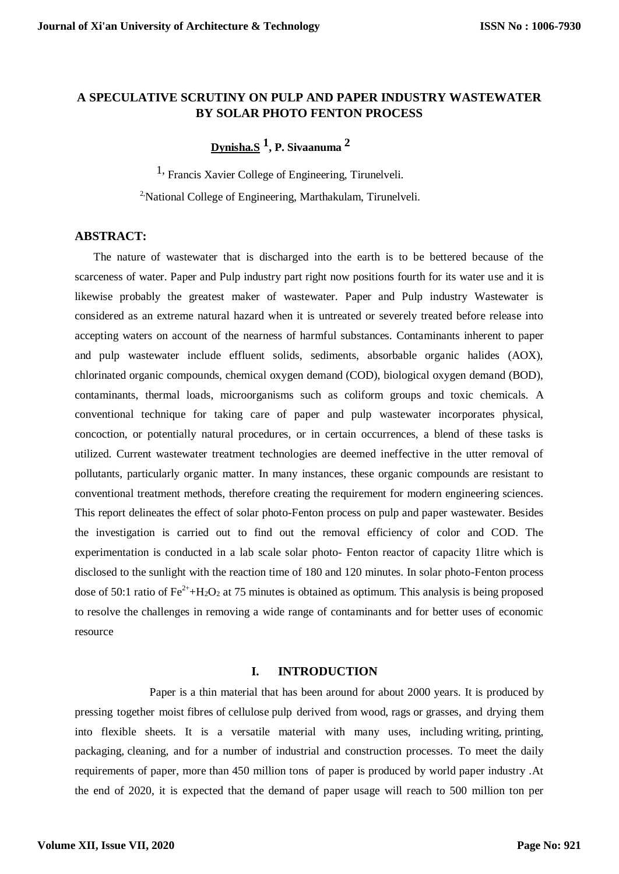# **A SPECULATIVE SCRUTINY ON PULP AND PAPER INDUSTRY WASTEWATER BY SOLAR PHOTO FENTON PROCESS**

**Dynisha.S 1 , P. Sivaanuma 2**

1, Francis Xavier College of Engineering, Tirunelveli.

<sup>2</sup>National College of Engineering, Marthakulam, Tirunelveli.

### **ABSTRACT:**

The nature of wastewater that is discharged into the earth is to be bettered because of the scarceness of water. Paper and Pulp industry part right now positions fourth for its water use and it is likewise probably the greatest maker of wastewater. Paper and Pulp industry Wastewater is considered as an extreme natural hazard when it is untreated or severely treated before release into accepting waters on account of the nearness of harmful substances. Contaminants inherent to paper and pulp wastewater include effluent solids, sediments, absorbable organic halides (AOX), chlorinated organic compounds, chemical oxygen demand (COD), biological oxygen demand (BOD), contaminants, thermal loads, microorganisms such as coliform groups and toxic chemicals. A conventional technique for taking care of paper and pulp wastewater incorporates physical, concoction, or potentially natural procedures, or in certain occurrences, a blend of these tasks is utilized. Current wastewater treatment technologies are deemed ineffective in the utter removal of pollutants, particularly organic matter. In many instances, these organic compounds are resistant to conventional treatment methods, therefore creating the requirement for modern engineering sciences. This report delineates the effect of solar photo-Fenton process on pulp and paper wastewater. Besides the investigation is carried out to find out the removal efficiency of color and COD. The experimentation is conducted in a lab scale solar photo- Fenton reactor of capacity 1litre which is disclosed to the sunlight with the reaction time of 180 and 120 minutes. In solar photo-Fenton process dose of 50:1 ratio of  $Fe^{2+}+H_2O_2$  at 75 minutes is obtained as optimum. This analysis is being proposed to resolve the challenges in removing a wide range of contaminants and for better uses of economic resource

### **I. INTRODUCTION**

Paper is a thin material that has been around for about 2000 years. It is produced by pressing together moist [fibres](https://en.wikipedia.org/wiki/Fibre) of [cellulose](https://en.wikipedia.org/wiki/Cellulose) pulp derived from [wood,](https://en.wikipedia.org/wiki/Wood) [rags](https://en.wikipedia.org/wiki/Textile) or [grasses,](https://en.wikipedia.org/wiki/Poaceae) and drying them into flexible sheets. It is a versatile material with many uses, including [writing,](https://en.wikipedia.org/wiki/Writing) [printing,](https://en.wikipedia.org/wiki/Printing) packaging, [cleaning,](https://en.wikipedia.org/wiki/Housekeeping) and for a number of industrial and construction processes. To meet the daily requirements of paper, more than 450 million tons of paper is produced by world paper industry .At the end of 2020, it is expected that the demand of paper usage will reach to 500 million ton per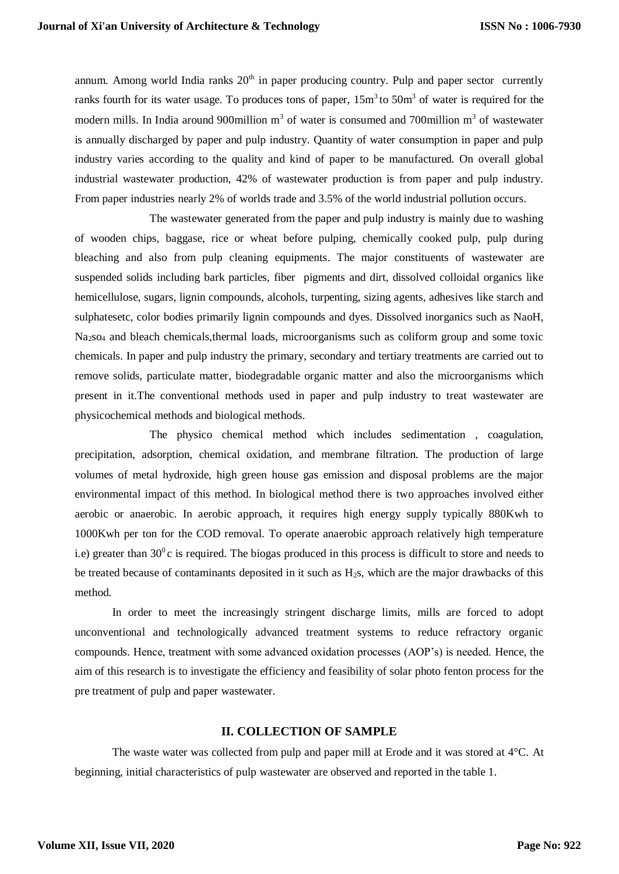annum. Among world India ranks  $20<sup>th</sup>$  in paper producing country. Pulp and paper sector currently ranks fourth for its water usage. To produces tons of paper,  $15m<sup>3</sup>$  to  $50m<sup>3</sup>$  of water is required for the modern mills. In India around 900 million  $m<sup>3</sup>$  of water is consumed and 700 million  $m<sup>3</sup>$  of wastewater is annually discharged by paper and pulp industry. Quantity of water consumption in paper and pulp industry varies according to the quality and kind of paper to be manufactured. On overall global industrial wastewater production, 42% of wastewater production is from paper and pulp industry. From paper industries nearly 2% of worlds trade and 3.5% of the world industrial pollution occurs.

The wastewater generated from the paper and pulp industry is mainly due to washing of wooden chips, baggase, rice or wheat before pulping, chemically cooked pulp, pulp during bleaching and also from pulp cleaning equipments. The major constituents of wastewater are suspended solids including bark particles, fiber pigments and dirt, dissolved colloidal organics like hemicellulose, sugars, lignin compounds, alcohols, turpenting, sizing agents, adhesives like starch and sulphatesetc, color bodies primarily lignin compounds and dyes. Dissolved inorganics such as NaoH, Na2so<sup>4</sup> and bleach chemicals,thermal loads, microorganisms such as coliform group and some toxic chemicals. In paper and pulp industry the primary, secondary and tertiary treatments are carried out to remove solids, particulate matter, biodegradable organic matter and also the microorganisms which present in it.The conventional methods used in paper and pulp industry to treat wastewater are physicochemical methods and biological methods.

The physico chemical method which includes sedimentation , coagulation, precipitation, adsorption, chemical oxidation, and membrane filtration. The production of large volumes of metal hydroxide, high green house gas emission and disposal problems are the major environmental impact of this method. In biological method there is two approaches involved either aerobic or anaerobic. In aerobic approach, it requires high energy supply typically 880Kwh to 1000Kwh per ton for the COD removal. To operate anaerobic approach relatively high temperature i.e) greater than  $30^{\circ}$ c is required. The biogas produced in this process is difficult to store and needs to be treated because of contaminants deposited in it such as H2s, which are the major drawbacks of this method.

In order to meet the increasingly stringent discharge limits, mills are forced to adopt unconventional and technologically advanced treatment systems to reduce refractory organic compounds. Hence, treatment with some advanced oxidation processes (AOP's) is needed. Hence, the aim of this research is to investigate the efficiency and feasibility of solar photo fenton process for the pre treatment of pulp and paper wastewater.

### **II. COLLECTION OF SAMPLE**

The waste water was collected from pulp and paper mill at Erode and it was stored at 4°C. At beginning, initial characteristics of pulp wastewater are observed and reported in the table 1.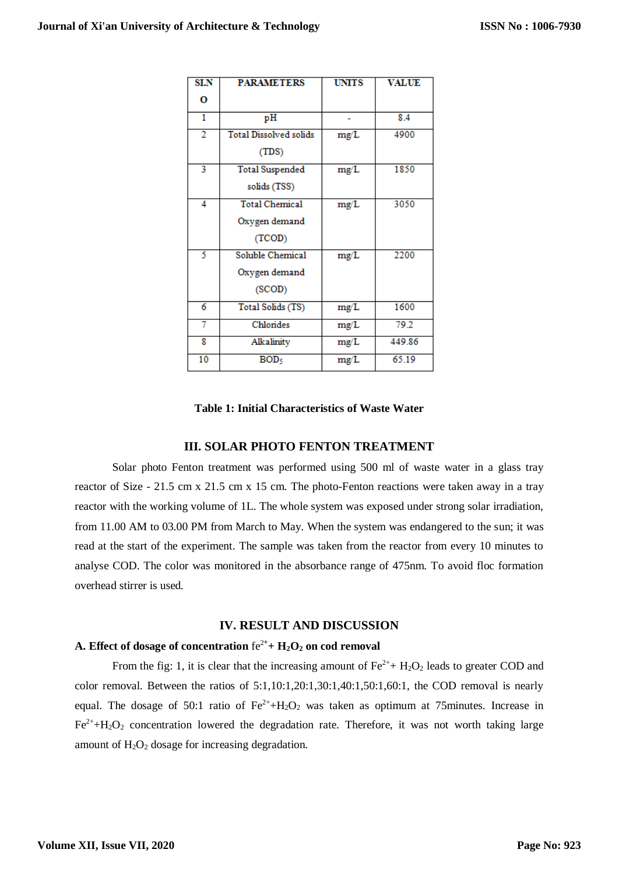| <b>SLN</b>     | <b>PARAMETERS</b>                                  | <b>UNITS</b> | <b>VALUE</b> |
|----------------|----------------------------------------------------|--------------|--------------|
| О              |                                                    |              |              |
| 1              | pH                                                 |              | 8.4          |
| $\overline{2}$ | <b>Total Dissolved solids</b><br>(TDS)             | mg/L         | 4900         |
| 3              | <b>Total Suspended</b><br>solids (TSS)             | mg/L         | 1850         |
| 4              | <b>Total Chemical</b><br>Oxygen demand<br>(TCOD)   | mg/L         | 3050         |
| 5              | <b>Soluble Chemical</b><br>Oxygen demand<br>(SCOD) | mg/L         | 2200         |
| 6              | Total Solids (TS)                                  | mg/L         | 1600         |
| 7              | Chlorides                                          | mg/L         | 79.2         |
| 8              | Alkalinity                                         | mg/L         | 449.86       |
| 10             | BOD <sub>5</sub>                                   | mg/L         | 65.19        |

### **Table 1: Initial Characteristics of Waste Water**

### **III. SOLAR PHOTO FENTON TREATMENT**

Solar photo Fenton treatment was performed using 500 ml of waste water in a glass tray reactor of Size - 21.5 cm x 21.5 cm x 15 cm. The photo-Fenton reactions were taken away in a tray reactor with the working volume of 1L. The whole system was exposed under strong solar irradiation, from 11.00 AM to 03.00 PM from March to May. When the system was endangered to the sun; it was read at the start of the experiment. The sample was taken from the reactor from every 10 minutes to analyse COD. The color was monitored in the absorbance range of 475nm. To avoid floc formation overhead stirrer is used.

### **IV. RESULT AND DISCUSSION**

## **A. Effect of dosage of concentration** fe<sup>2</sup>**<sup>+</sup> + H2O<sup>2</sup> on cod removal**

From the fig: 1, it is clear that the increasing amount of  $Fe^{2+} + H_2O_2$  leads to greater COD and color removal. Between the ratios of 5:1,10:1,20:1,30:1,40:1,50:1,60:1, the COD removal is nearly equal. The dosage of 50:1 ratio of  $Fe^{2+}+H_2O_2$  was taken as optimum at 75minutes. Increase in  $Fe^{2+}+H_2O_2$  concentration lowered the degradation rate. Therefore, it was not worth taking large amount of  $H_2O_2$  dosage for increasing degradation.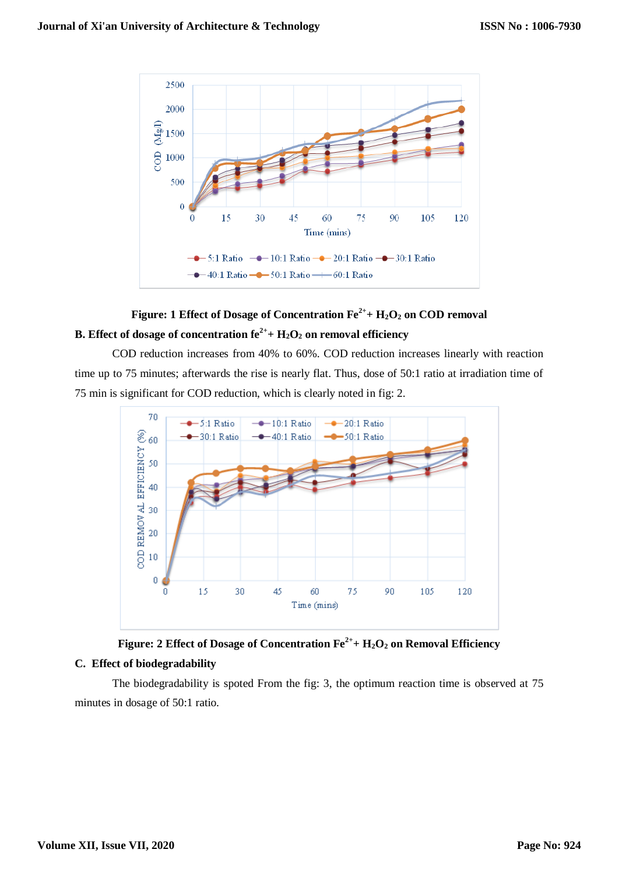

# **Figure: 1 Effect of Dosage of Concentration Fe2++ H2O<sup>2</sup> on COD removal B.** Effect of dosage of concentration  $fe^{2+} + H_2O_2$  on removal efficiency

COD reduction increases from 40% to 60%. COD reduction increases linearly with reaction time up to 75 minutes; afterwards the rise is nearly flat. Thus, dose of 50:1 ratio at irradiation time of 75 min is significant for COD reduction, which is clearly noted in fig: 2.





# **C. Effect of biodegradability**

The biodegradability is spoted From the fig: 3, the optimum reaction time is observed at 75 minutes in dosage of 50:1 ratio.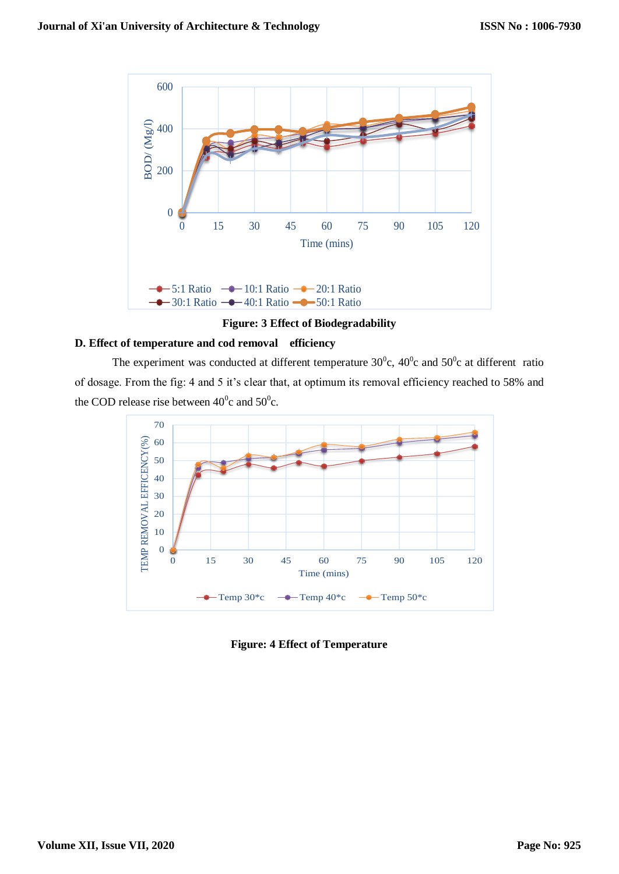

**Figure: 3 Effect of Biodegradability**

### **D. Effect of temperature and cod removal efficiency**

The experiment was conducted at different temperature  $30^{\circ}$ c,  $40^{\circ}$ c and  $50^{\circ}$ c at different ratio of dosage. From the fig: 4 and 5 it's clear that, at optimum its removal efficiency reached to 58% and the COD release rise between  $40^{\circ}$ c and  $50^{\circ}$ c.



**Figure: 4 Effect of Temperature**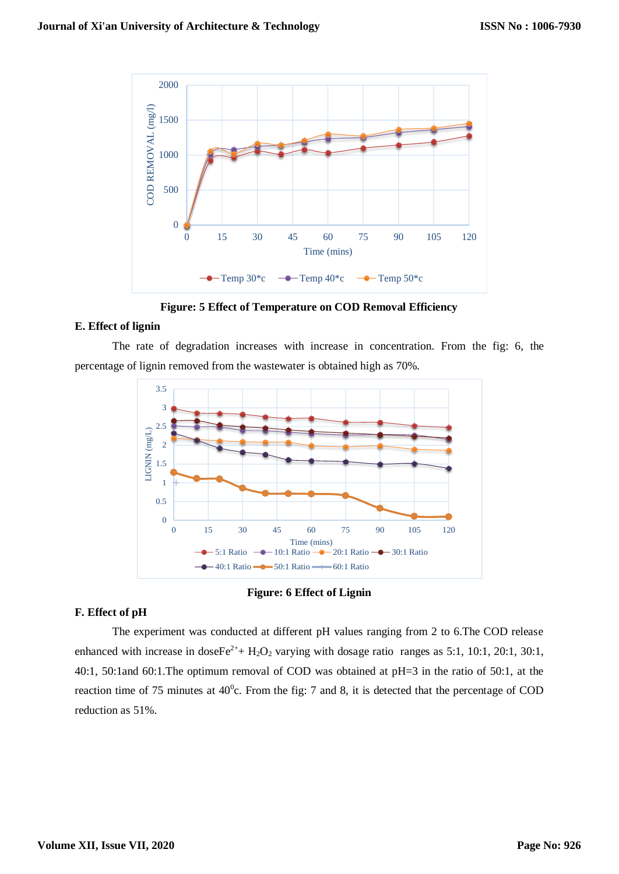

**Figure: 5 Effect of Temperature on COD Removal Efficiency**

### **E. Effect of lignin**

The rate of degradation increases with increase in concentration. From the fig: 6, the percentage of lignin removed from the wastewater is obtained high as 70%.



#### **Figure: 6 Effect of Lignin**

### **F. Effect of pH**

The experiment was conducted at different pH values ranging from 2 to 6.The COD release enhanced with increase in doseFe<sup>2+</sup>+ H<sub>2</sub>O<sub>2</sub> varying with dosage ratio ranges as 5:1, 10:1, 20:1, 30:1, 40:1, 50:1and 60:1.The optimum removal of COD was obtained at pH=3 in the ratio of 50:1, at the reaction time of 75 minutes at  $40^{\circ}$ c. From the fig: 7 and 8, it is detected that the percentage of COD reduction as 51%.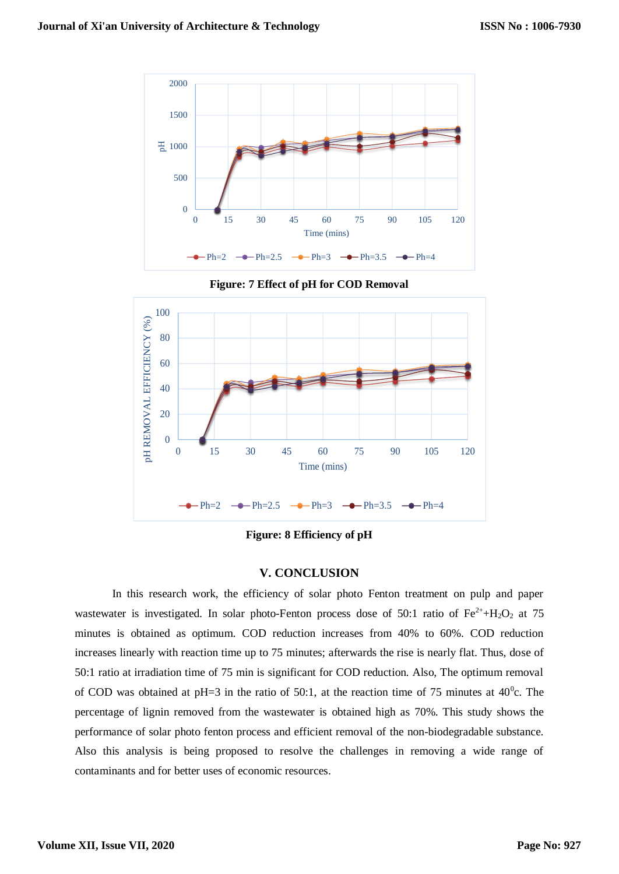

**Figure: 7 Effect of pH for COD Removal**



**Figure: 8 Efficiency of pH**

# **V. CONCLUSION**

In this research work, the efficiency of solar photo Fenton treatment on pulp and paper wastewater is investigated. In solar photo-Fenton process dose of 50:1 ratio of  $Fe^{2+} + H_2O_2$  at 75 minutes is obtained as optimum. COD reduction increases from 40% to 60%. COD reduction increases linearly with reaction time up to 75 minutes; afterwards the rise is nearly flat. Thus, dose of 50:1 ratio at irradiation time of 75 min is significant for COD reduction. Also, The optimum removal of COD was obtained at pH=3 in the ratio of 50:1, at the reaction time of 75 minutes at  $40^{\circ}$ c. The percentage of lignin removed from the wastewater is obtained high as 70%. This study shows the performance of solar photo fenton process and efficient removal of the non-biodegradable substance. Also this analysis is being proposed to resolve the challenges in removing a wide range of contaminants and for better uses of economic resources.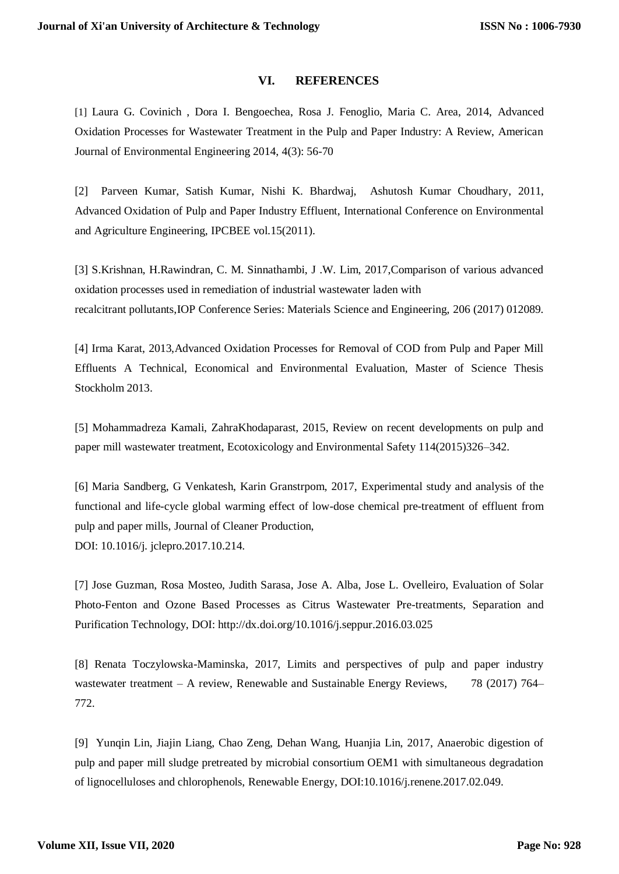# **VI. REFERENCES**

[1] Laura G. Covinich , Dora I. Bengoechea, Rosa J. Fenoglio, Maria C. Area, 2014, Advanced Oxidation Processes for Wastewater Treatment in the Pulp and Paper Industry: A Review, American Journal of Environmental Engineering 2014, 4(3): 56-70

[2] Parveen Kumar, Satish Kumar, Nishi K. Bhardwaj, Ashutosh Kumar Choudhary, 2011, Advanced Oxidation of Pulp and Paper Industry Effluent, International Conference on Environmental and Agriculture Engineering, IPCBEE vol.15(2011).

[3] S.Krishnan, H.Rawindran, C. M. Sinnathambi, J .W. Lim, 2017,Comparison of various advanced oxidation processes used in remediation of industrial wastewater laden with recalcitrant pollutants,IOP Conference Series: Materials Science and Engineering, 206 (2017) 012089.

[4] Irma Karat, 2013,Advanced Oxidation Processes for Removal of COD from Pulp and Paper Mill Effluents A Technical, Economical and Environmental Evaluation, Master of Science Thesis Stockholm 2013.

[5] Mohammadreza Kamali, ZahraKhodaparast, 2015, Review on recent developments on pulp and paper mill wastewater treatment, Ecotoxicology and Environmental Safety 114(2015)326–342.

[6] Maria Sandberg, G Venkatesh, Karin Granstrpom, 2017, Experimental study and analysis of the functional and life-cycle global warming effect of low-dose chemical pre-treatment of effluent from pulp and paper mills, Journal of Cleaner Production, DOI: 10.1016/j. jclepro.2017.10.214.

[7] Jose Guzman, Rosa Mosteo, Judith Sarasa, Jose A. Alba, Jose L. Ovelleiro, Evaluation of Solar Photo-Fenton and Ozone Based Processes as Citrus Wastewater Pre-treatments, Separation and Purification Technology, DOI: http://dx.doi.org/10.1016/j.seppur.2016.03.025

[8] Renata Toczylowska-Maminska, 2017, Limits and perspectives of pulp and paper industry wastewater treatment – A review, Renewable and Sustainable Energy Reviews, 78 (2017) 764– 772.

[9] Yunqin Lin, Jiajin Liang, Chao Zeng, Dehan Wang, Huanjia Lin, 2017, Anaerobic digestion of pulp and paper mill sludge pretreated by microbial consortium OEM1 with simultaneous degradation of lignocelluloses and chlorophenols, Renewable Energy, DOI:10.1016/j.renene.2017.02.049.